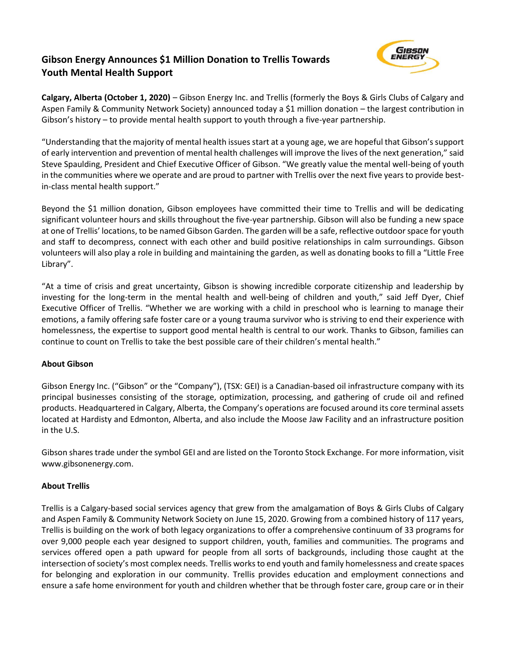# **Gibson Energy Announces \$1 Million Donation to Trellis Towards Youth Mental Health Support**



**Calgary, Alberta (October 1, 2020)** – Gibson Energy Inc. and Trellis (formerly the Boys & Girls Clubs of Calgary and Aspen Family & Community Network Society) announced today a \$1 million donation – the largest contribution in Gibson's history – to provide mental health support to youth through a five-year partnership.

"Understanding that the majority of mental health issues start at a young age, we are hopeful that Gibson's support of early intervention and prevention of mental health challenges will improve the lives of the next generation," said Steve Spaulding, President and Chief Executive Officer of Gibson. "We greatly value the mental well-being of youth in the communities where we operate and are proud to partner with Trellis over the next five years to provide bestin-class mental health support."

Beyond the \$1 million donation, Gibson employees have committed their time to Trellis and will be dedicating significant volunteer hours and skills throughout the five-year partnership. Gibson will also be funding a new space at one of Trellis' locations, to be named Gibson Garden. The garden will be a safe, reflective outdoor space for youth and staff to decompress, connect with each other and build positive relationships in calm surroundings. Gibson volunteers will also play a role in building and maintaining the garden, as well as donating books to fill a "Little Free Library".

"At a time of crisis and great uncertainty, Gibson is showing incredible corporate citizenship and leadership by investing for the long-term in the mental health and well-being of children and youth," said Jeff Dyer, Chief Executive Officer of Trellis. "Whether we are working with a child in preschool who is learning to manage their emotions, a family offering safe foster care or a young trauma survivor who is striving to end their experience with homelessness, the expertise to support good mental health is central to our work. Thanks to Gibson, families can continue to count on Trellis to take the best possible care of their children's mental health."

# **About Gibson**

Gibson Energy Inc. ("Gibson" or the "Company"), (TSX: GEI) is a Canadian-based oil infrastructure company with its principal businesses consisting of the storage, optimization, processing, and gathering of crude oil and refined products. Headquartered in Calgary, Alberta, the Company's operations are focused around its core terminal assets located at Hardisty and Edmonton, Alberta, and also include the Moose Jaw Facility and an infrastructure position in the U.S.

Gibson shares trade under the symbol GEI and are listed on the Toronto Stock Exchange. For more information, visit www.gibsonenergy.com.

# **About Trellis**

Trellis is a Calgary-based social services agency that grew from the amalgamation of Boys & Girls Clubs of Calgary and Aspen Family & Community Network Society on June 15, 2020. Growing from a combined history of 117 years, Trellis is building on the work of both legacy organizations to offer a comprehensive continuum of 33 programs for over 9,000 people each year designed to support children, youth, families and communities. The programs and services offered open a path upward for people from all sorts of backgrounds, including those caught at the intersection of society's most complex needs. Trellis worksto end youth and family homelessness and create spaces for belonging and exploration in our community. Trellis provides education and employment connections and ensure a safe home environment for youth and children whether that be through foster care, group care or in their